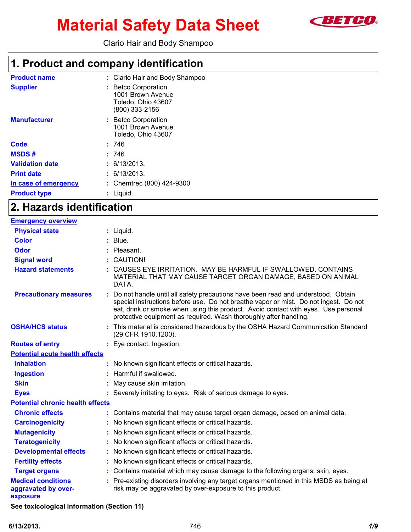

# **Material Safety Data Sheet**

Clario Hair and Body Shampoo

### **1. Product and company identification**

| <b>Product name</b>    | : Clario Hair and Body Shampoo                                                   |
|------------------------|----------------------------------------------------------------------------------|
| <b>Supplier</b>        | : Betco Corporation<br>1001 Brown Avenue<br>Toledo, Ohio 43607<br>(800) 333-2156 |
| <b>Manufacturer</b>    | : Betco Corporation<br>1001 Brown Avenue<br>Toledo, Ohio 43607                   |
| Code                   | : 746                                                                            |
| <b>MSDS#</b>           | : 746                                                                            |
| <b>Validation date</b> | : 6/13/2013.                                                                     |
| <b>Print date</b>      | : 6/13/2013.                                                                     |
| In case of emergency   | : Chemtrec (800) 424-9300                                                        |
| <b>Product type</b>    | Liquid.                                                                          |

### **2. Hazards identification**

| <b>Emergency overview</b>                                    |                                                                                                                                                                                                                                                                                                                                       |
|--------------------------------------------------------------|---------------------------------------------------------------------------------------------------------------------------------------------------------------------------------------------------------------------------------------------------------------------------------------------------------------------------------------|
| <b>Physical state</b>                                        | $:$ Liquid.                                                                                                                                                                                                                                                                                                                           |
| <b>Color</b>                                                 | Blue.                                                                                                                                                                                                                                                                                                                                 |
| <b>Odor</b>                                                  | Pleasant.                                                                                                                                                                                                                                                                                                                             |
| <b>Signal word</b>                                           | CAUTION!                                                                                                                                                                                                                                                                                                                              |
| <b>Hazard statements</b>                                     | CAUSES EYE IRRITATION. MAY BE HARMFUL IF SWALLOWED. CONTAINS<br>MATERIAL THAT MAY CAUSE TARGET ORGAN DAMAGE, BASED ON ANIMAL<br>DATA.                                                                                                                                                                                                 |
| <b>Precautionary measures</b>                                | : Do not handle until all safety precautions have been read and understood. Obtain<br>special instructions before use. Do not breathe vapor or mist. Do not ingest. Do not<br>eat, drink or smoke when using this product. Avoid contact with eyes. Use personal<br>protective equipment as required. Wash thoroughly after handling. |
| <b>OSHA/HCS status</b>                                       | : This material is considered hazardous by the OSHA Hazard Communication Standard<br>(29 CFR 1910.1200).                                                                                                                                                                                                                              |
| <b>Routes of entry</b>                                       | : Eye contact. Ingestion.                                                                                                                                                                                                                                                                                                             |
| <b>Potential acute health effects</b>                        |                                                                                                                                                                                                                                                                                                                                       |
| <b>Inhalation</b>                                            | : No known significant effects or critical hazards.                                                                                                                                                                                                                                                                                   |
| <b>Ingestion</b>                                             | : Harmful if swallowed.                                                                                                                                                                                                                                                                                                               |
| <b>Skin</b>                                                  | May cause skin irritation.                                                                                                                                                                                                                                                                                                            |
| <b>Eyes</b>                                                  | : Severely irritating to eyes. Risk of serious damage to eyes.                                                                                                                                                                                                                                                                        |
| <b>Potential chronic health effects</b>                      |                                                                                                                                                                                                                                                                                                                                       |
| <b>Chronic effects</b>                                       | : Contains material that may cause target organ damage, based on animal data.                                                                                                                                                                                                                                                         |
| <b>Carcinogenicity</b>                                       | : No known significant effects or critical hazards.                                                                                                                                                                                                                                                                                   |
| <b>Mutagenicity</b>                                          | : No known significant effects or critical hazards.                                                                                                                                                                                                                                                                                   |
| <b>Teratogenicity</b>                                        | : No known significant effects or critical hazards.                                                                                                                                                                                                                                                                                   |
| <b>Developmental effects</b>                                 | : No known significant effects or critical hazards.                                                                                                                                                                                                                                                                                   |
| <b>Fertility effects</b>                                     | : No known significant effects or critical hazards.                                                                                                                                                                                                                                                                                   |
| <b>Target organs</b>                                         | : Contains material which may cause damage to the following organs: skin, eyes.                                                                                                                                                                                                                                                       |
| <b>Medical conditions</b><br>aggravated by over-<br>exposure | : Pre-existing disorders involving any target organs mentioned in this MSDS as being at<br>risk may be aggravated by over-exposure to this product.                                                                                                                                                                                   |

**See toxicological information (Section 11)**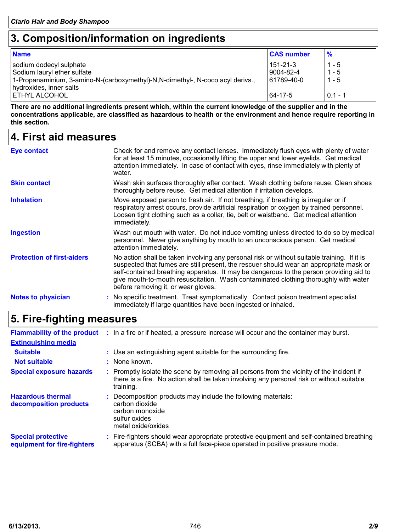## **3. Composition/information on ingredients**

| <b>Name</b>                                                                    | <b>CAS number</b> | $\frac{9}{6}$ |
|--------------------------------------------------------------------------------|-------------------|---------------|
| sodium dodecyl sulphate                                                        | 151-21-3          | $1 - 5$       |
| Sodium lauryl ether sulfate                                                    | 9004-82-4         | $1 - 5$       |
| 1-Propanaminium, 3-amino-N-(carboxymethyl)-N,N-dimethyl-, N-coco acyl derivs., | 61789-40-0        | $1 - 5$       |
| hydroxides, inner salts                                                        |                   |               |
| <b> ETHYL ALCOHOL</b>                                                          | 64-17-5           | $0.1 - 1$     |

**There are no additional ingredients present which, within the current knowledge of the supplier and in the concentrations applicable, are classified as hazardous to health or the environment and hence require reporting in this section.**

### **4. First aid measures**

| Eye contact                       | Check for and remove any contact lenses. Immediately flush eyes with plenty of water<br>for at least 15 minutes, occasionally lifting the upper and lower eyelids. Get medical<br>attention immediately. In case of contact with eyes, rinse immediately with plenty of<br>water.                                                                                                                             |
|-----------------------------------|---------------------------------------------------------------------------------------------------------------------------------------------------------------------------------------------------------------------------------------------------------------------------------------------------------------------------------------------------------------------------------------------------------------|
| <b>Skin contact</b>               | Wash skin surfaces thoroughly after contact. Wash clothing before reuse. Clean shoes<br>thoroughly before reuse. Get medical attention if irritation develops.                                                                                                                                                                                                                                                |
| <b>Inhalation</b>                 | Move exposed person to fresh air. If not breathing, if breathing is irregular or if<br>respiratory arrest occurs, provide artificial respiration or oxygen by trained personnel.<br>Loosen tight clothing such as a collar, tie, belt or waistband. Get medical attention<br>immediately.                                                                                                                     |
| <b>Ingestion</b>                  | Wash out mouth with water. Do not induce vomiting unless directed to do so by medical<br>personnel. Never give anything by mouth to an unconscious person. Get medical<br>attention immediately.                                                                                                                                                                                                              |
| <b>Protection of first-aiders</b> | No action shall be taken involving any personal risk or without suitable training. If it is<br>suspected that fumes are still present, the rescuer should wear an appropriate mask or<br>self-contained breathing apparatus. It may be dangerous to the person providing aid to<br>give mouth-to-mouth resuscitation. Wash contaminated clothing thoroughly with water<br>before removing it, or wear gloves. |
| <b>Notes to physician</b>         | : No specific treatment. Treat symptomatically. Contact poison treatment specialist<br>immediately if large quantities have been ingested or inhaled.                                                                                                                                                                                                                                                         |

## **5. Fire-fighting measures**

|                                                          | Flammability of the product : In a fire or if heated, a pressure increase will occur and the container may burst.                                                                                   |
|----------------------------------------------------------|-----------------------------------------------------------------------------------------------------------------------------------------------------------------------------------------------------|
| <b>Extinguishing media</b>                               |                                                                                                                                                                                                     |
| <b>Suitable</b>                                          | : Use an extinguishing agent suitable for the surrounding fire.                                                                                                                                     |
| <b>Not suitable</b>                                      | : None known.                                                                                                                                                                                       |
| <b>Special exposure hazards</b>                          | : Promptly isolate the scene by removing all persons from the vicinity of the incident if<br>there is a fire. No action shall be taken involving any personal risk or without suitable<br>training. |
| <b>Hazardous thermal</b><br>decomposition products       | : Decomposition products may include the following materials:<br>carbon dioxide<br>carbon monoxide<br>sulfur oxides<br>metal oxide/oxides                                                           |
| <b>Special protective</b><br>equipment for fire-fighters | : Fire-fighters should wear appropriate protective equipment and self-contained breathing<br>apparatus (SCBA) with a full face-piece operated in positive pressure mode.                            |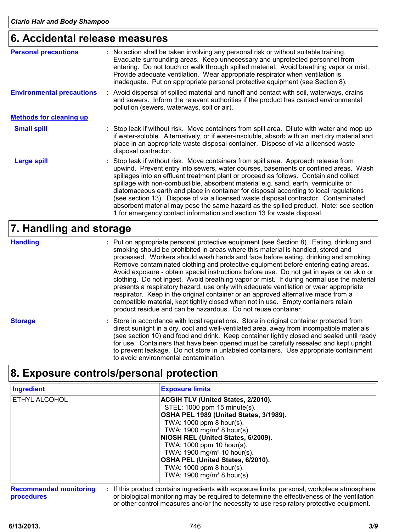### **6. Accidental release measures**

| <b>Personal precautions</b>      | : No action shall be taken involving any personal risk or without suitable training.<br>Evacuate surrounding areas. Keep unnecessary and unprotected personnel from<br>entering. Do not touch or walk through spilled material. Avoid breathing vapor or mist.<br>Provide adequate ventilation. Wear appropriate respirator when ventilation is<br>inadequate. Put on appropriate personal protective equipment (see Section 8).                                                                                                                                                                                                                                                                             |
|----------------------------------|--------------------------------------------------------------------------------------------------------------------------------------------------------------------------------------------------------------------------------------------------------------------------------------------------------------------------------------------------------------------------------------------------------------------------------------------------------------------------------------------------------------------------------------------------------------------------------------------------------------------------------------------------------------------------------------------------------------|
| <b>Environmental precautions</b> | : Avoid dispersal of spilled material and runoff and contact with soil, waterways, drains<br>and sewers. Inform the relevant authorities if the product has caused environmental<br>pollution (sewers, waterways, soil or air).                                                                                                                                                                                                                                                                                                                                                                                                                                                                              |
| <b>Methods for cleaning up</b>   |                                                                                                                                                                                                                                                                                                                                                                                                                                                                                                                                                                                                                                                                                                              |
| <b>Small spill</b>               | : Stop leak if without risk. Move containers from spill area. Dilute with water and mop up<br>if water-soluble. Alternatively, or if water-insoluble, absorb with an inert dry material and<br>place in an appropriate waste disposal container. Dispose of via a licensed waste<br>disposal contractor.                                                                                                                                                                                                                                                                                                                                                                                                     |
| <b>Large spill</b>               | : Stop leak if without risk. Move containers from spill area. Approach release from<br>upwind. Prevent entry into sewers, water courses, basements or confined areas. Wash<br>spillages into an effluent treatment plant or proceed as follows. Contain and collect<br>spillage with non-combustible, absorbent material e.g. sand, earth, vermiculite or<br>diatomaceous earth and place in container for disposal according to local regulations<br>(see section 13). Dispose of via a licensed waste disposal contractor. Contaminated<br>absorbent material may pose the same hazard as the spilled product. Note: see section<br>1 for emergency contact information and section 13 for waste disposal. |

### **7. Handling and storage**

Store in accordance with local regulations. Store in original container protected from **:** direct sunlight in a dry, cool and well-ventilated area, away from incompatible materials (see section 10) and food and drink. Keep container tightly closed and sealed until ready for use. Containers that have been opened must be carefully resealed and kept upright to prevent leakage. Do not store in unlabeled containers. Use appropriate containment to avoid environmental contamination. Put on appropriate personal protective equipment (see Section 8). Eating, drinking and **:** smoking should be prohibited in areas where this material is handled, stored and processed. Workers should wash hands and face before eating, drinking and smoking. Remove contaminated clothing and protective equipment before entering eating areas. Avoid exposure - obtain special instructions before use. Do not get in eyes or on skin or clothing. Do not ingest. Avoid breathing vapor or mist. If during normal use the material presents a respiratory hazard, use only with adequate ventilation or wear appropriate respirator. Keep in the original container or an approved alternative made from a compatible material, kept tightly closed when not in use. Empty containers retain product residue and can be hazardous. Do not reuse container. **Handling Storage**

### **8. Exposure controls/personal protection**

| Ingredient                                  | <b>Exposure limits</b>                                                                                                                                                                    |  |
|---------------------------------------------|-------------------------------------------------------------------------------------------------------------------------------------------------------------------------------------------|--|
| ETHYL ALCOHOL                               | ACGIH TLV (United States, 2/2010).                                                                                                                                                        |  |
|                                             | STEL: 1000 ppm 15 minute(s).                                                                                                                                                              |  |
|                                             | OSHA PEL 1989 (United States, 3/1989).                                                                                                                                                    |  |
|                                             | TWA: $1000$ ppm 8 hour(s).                                                                                                                                                                |  |
|                                             | TWA: $1900$ mg/m <sup>3</sup> 8 hour(s).                                                                                                                                                  |  |
|                                             | NIOSH REL (United States, 6/2009).                                                                                                                                                        |  |
|                                             | TWA: 1000 ppm 10 hour(s).                                                                                                                                                                 |  |
|                                             | TWA: 1900 mg/m <sup>3</sup> 10 hour(s).                                                                                                                                                   |  |
|                                             | OSHA PEL (United States, 6/2010).                                                                                                                                                         |  |
|                                             | TWA: 1000 ppm 8 hour(s).                                                                                                                                                                  |  |
|                                             | TWA: 1900 mg/m <sup>3</sup> 8 hour(s).                                                                                                                                                    |  |
| <b>Recommended monitoring</b><br>procedures | : If this product contains ingredients with exposure limits, personal, workplace atmosphere<br>or biological monitoring may be required to determine the effectiveness of the ventilation |  |

or biological monitoring may be required to determine the effectiveness of the ventilation or other control measures and/or the necessity to use respiratory protective equipment.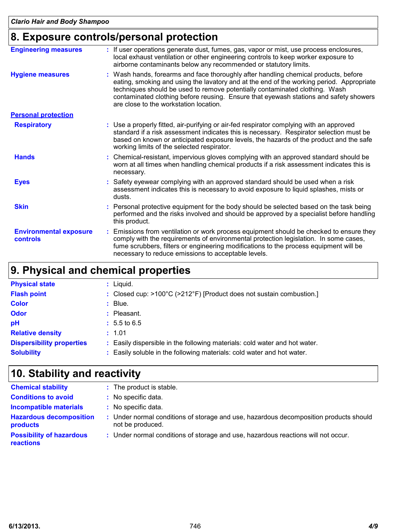## **8. Exposure controls/personal protection**

| <b>Engineering measures</b>               | : If user operations generate dust, fumes, gas, vapor or mist, use process enclosures,<br>local exhaust ventilation or other engineering controls to keep worker exposure to<br>airborne contaminants below any recommended or statutory limits.                                                                                                                                                  |
|-------------------------------------------|---------------------------------------------------------------------------------------------------------------------------------------------------------------------------------------------------------------------------------------------------------------------------------------------------------------------------------------------------------------------------------------------------|
| <b>Hygiene measures</b>                   | : Wash hands, forearms and face thoroughly after handling chemical products, before<br>eating, smoking and using the lavatory and at the end of the working period. Appropriate<br>techniques should be used to remove potentially contaminated clothing. Wash<br>contaminated clothing before reusing. Ensure that eyewash stations and safety showers<br>are close to the workstation location. |
| <b>Personal protection</b>                |                                                                                                                                                                                                                                                                                                                                                                                                   |
| <b>Respiratory</b>                        | : Use a properly fitted, air-purifying or air-fed respirator complying with an approved<br>standard if a risk assessment indicates this is necessary. Respirator selection must be<br>based on known or anticipated exposure levels, the hazards of the product and the safe<br>working limits of the selected respirator.                                                                        |
| <b>Hands</b>                              | : Chemical-resistant, impervious gloves complying with an approved standard should be<br>worn at all times when handling chemical products if a risk assessment indicates this is<br>necessary.                                                                                                                                                                                                   |
| <b>Eyes</b>                               | : Safety eyewear complying with an approved standard should be used when a risk<br>assessment indicates this is necessary to avoid exposure to liquid splashes, mists or<br>dusts.                                                                                                                                                                                                                |
| <b>Skin</b>                               | : Personal protective equipment for the body should be selected based on the task being<br>performed and the risks involved and should be approved by a specialist before handling<br>this product.                                                                                                                                                                                               |
| <b>Environmental exposure</b><br>controls | : Emissions from ventilation or work process equipment should be checked to ensure they<br>comply with the requirements of environmental protection legislation. In some cases,<br>fume scrubbers, filters or engineering modifications to the process equipment will be<br>necessary to reduce emissions to acceptable levels.                                                                   |

## **9. Physical and chemical properties**

| <b>Physical state</b>            | : Liquid.                                                                  |
|----------------------------------|----------------------------------------------------------------------------|
| <b>Flash point</b>               | : Closed cup: >100°C (>212°F) [Product does not sustain combustion.]       |
| <b>Color</b>                     | $\therefore$ Blue.                                                         |
| <b>Odor</b>                      | $:$ Pleasant.                                                              |
| pH                               | $: 5.5 \text{ to } 6.5$                                                    |
| <b>Relative density</b>          | : 1.01                                                                     |
| <b>Dispersibility properties</b> | : Easily dispersible in the following materials: cold water and hot water. |
| <b>Solubility</b>                | : Easily soluble in the following materials: cold water and hot water.     |

## **10. Stability and reactivity**

| <b>Chemical stability</b>                    | : The product is stable.                                                                                  |
|----------------------------------------------|-----------------------------------------------------------------------------------------------------------|
| <b>Conditions to avoid</b>                   | : No specific data.                                                                                       |
| <b>Incompatible materials</b>                | : No specific data.                                                                                       |
| <b>Hazardous decomposition</b><br>products   | : Under normal conditions of storage and use, hazardous decomposition products should<br>not be produced. |
| <b>Possibility of hazardous</b><br>reactions | : Under normal conditions of storage and use, hazardous reactions will not occur.                         |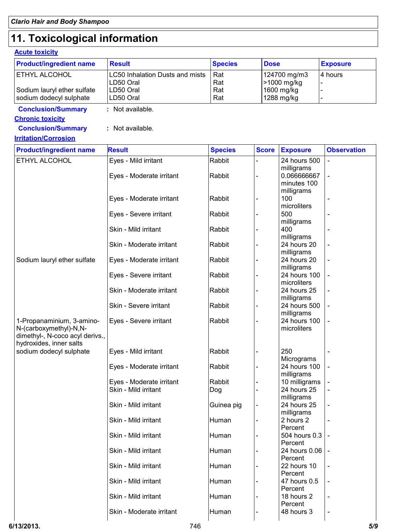## **11. Toxicological information**

### **Acute toxicity**

| <b>Product/ingredient name</b>                             | <b>Result</b>                   | <b>Species</b> | <b>Dose</b>  |                         | <b>Exposure</b>    |  |
|------------------------------------------------------------|---------------------------------|----------------|--------------|-------------------------|--------------------|--|
| ETHYL ALCOHOL                                              | LC50 Inhalation Dusts and mists | Rat            |              | 124700 mg/m3            | 4 hours            |  |
|                                                            | LD50 Oral                       | Rat            |              | >1000 mg/kg             |                    |  |
| Sodium lauryl ether sulfate                                | LD50 Oral                       | Rat            |              | 1600 mg/kg              |                    |  |
| sodium dodecyl sulphate                                    | LD50 Oral                       | Rat            |              | 1288 mg/kg              |                    |  |
| <b>Conclusion/Summary</b>                                  | : Not available.                |                |              |                         |                    |  |
| <b>Chronic toxicity</b>                                    |                                 |                |              |                         |                    |  |
| <b>Conclusion/Summary</b>                                  | : Not available.                |                |              |                         |                    |  |
| <b>Irritation/Corrosion</b>                                |                                 |                |              |                         |                    |  |
| <b>Product/ingredient name</b>                             | <b>Result</b>                   | <b>Species</b> | <b>Score</b> | <b>Exposure</b>         | <b>Observation</b> |  |
| ETHYL ALCOHOL                                              | Eyes - Mild irritant            | Rabbit         |              | 24 hours 500            |                    |  |
|                                                            |                                 |                |              | milligrams              |                    |  |
|                                                            | Eyes - Moderate irritant        | Rabbit         |              | 0.066666667             |                    |  |
|                                                            |                                 |                |              | minutes 100             |                    |  |
|                                                            |                                 |                |              | milligrams              |                    |  |
|                                                            | Eyes - Moderate irritant        | Rabbit         |              | 100<br>microliters      |                    |  |
|                                                            |                                 | Rabbit         |              | 500                     |                    |  |
|                                                            | Eyes - Severe irritant          |                |              | milligrams              |                    |  |
|                                                            | Skin - Mild irritant            | Rabbit         |              | 400                     |                    |  |
|                                                            |                                 |                |              | milligrams              |                    |  |
|                                                            | Skin - Moderate irritant        | Rabbit         |              | 24 hours 20             |                    |  |
|                                                            |                                 |                |              | milligrams              |                    |  |
| Sodium lauryl ether sulfate                                | Eyes - Moderate irritant        | Rabbit         |              | 24 hours 20             |                    |  |
|                                                            |                                 |                |              | milligrams              |                    |  |
|                                                            | Eyes - Severe irritant          | Rabbit         |              | 24 hours 100            |                    |  |
|                                                            |                                 |                |              | microliters             |                    |  |
|                                                            | Skin - Moderate irritant        | Rabbit         |              | 24 hours 25             |                    |  |
|                                                            |                                 |                |              | milligrams              |                    |  |
|                                                            | Skin - Severe irritant          | Rabbit         |              | 24 hours 500            |                    |  |
|                                                            |                                 |                |              | milligrams              |                    |  |
| 1-Propanaminium, 3-amino-                                  | Eyes - Severe irritant          | Rabbit         |              | 24 hours 100            |                    |  |
| N-(carboxymethyl)-N,N-                                     |                                 |                |              | microliters             |                    |  |
| dimethyl-, N-coco acyl derivs.,<br>hydroxides, inner salts |                                 |                |              |                         |                    |  |
| sodium dodecyl sulphate                                    | Eyes - Mild irritant            | Rabbit         |              | 250                     |                    |  |
|                                                            |                                 |                |              | Micrograms              |                    |  |
|                                                            | Eyes - Moderate irritant        | Rabbit         |              | 24 hours 100            |                    |  |
|                                                            |                                 |                |              | milligrams              |                    |  |
|                                                            | Eyes - Moderate irritant        | Rabbit         |              | 10 milligrams           |                    |  |
|                                                            | Skin - Mild irritant            | Dog            |              | 24 hours 25             |                    |  |
|                                                            |                                 |                |              | milligrams              |                    |  |
|                                                            | Skin - Mild irritant            | Guinea pig     |              | 24 hours 25             |                    |  |
|                                                            |                                 |                |              | milligrams              |                    |  |
|                                                            | Skin - Mild irritant            | Human          |              | 2 hours 2               |                    |  |
|                                                            |                                 |                |              | Percent                 |                    |  |
|                                                            | Skin - Mild irritant            | Human          |              | 504 hours 0.3           |                    |  |
|                                                            |                                 |                |              | Percent                 |                    |  |
|                                                            | Skin - Mild irritant            | Human          |              | 24 hours 0.06           |                    |  |
|                                                            |                                 |                |              | Percent                 |                    |  |
|                                                            | Skin - Mild irritant            | Human          |              | 22 hours 10             |                    |  |
|                                                            | Skin - Mild irritant            | Human          |              | Percent<br>47 hours 0.5 |                    |  |
|                                                            |                                 |                |              | Percent                 |                    |  |
|                                                            | Skin - Mild irritant            | Human          |              | 18 hours 2              |                    |  |
|                                                            |                                 |                |              | Percent                 |                    |  |
|                                                            | Skin - Moderate irritant        | Human          |              | 48 hours 3              |                    |  |
|                                                            |                                 |                |              |                         |                    |  |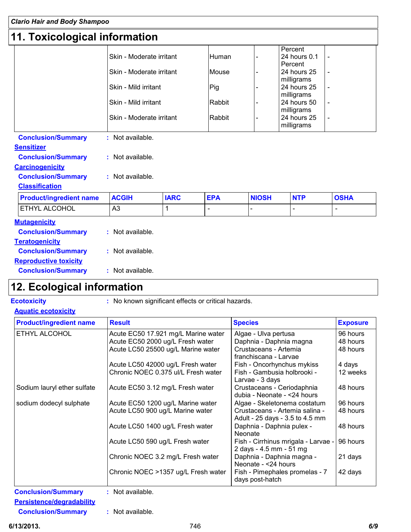## **11. Toxicological information**

|                                | Skin - Moderate irritant |             | <b>Human</b>   |              | Percent<br>24 hours 0.1<br>Percent |                          |
|--------------------------------|--------------------------|-------------|----------------|--------------|------------------------------------|--------------------------|
|                                | Skin - Moderate irritant |             | Mouse          |              | 24 hours 25<br>milligrams          |                          |
|                                | Skin - Mild irritant     |             | Pig            |              | 24 hours 25<br>milligrams          | $\blacksquare$           |
|                                | Skin - Mild irritant     |             | Rabbit         |              | 24 hours 50<br>milligrams          | $\overline{\phantom{a}}$ |
|                                | Skin - Moderate irritant |             | Rabbit         |              | 24 hours 25<br>milligrams          |                          |
| <b>Conclusion/Summary</b>      | : Not available.         |             |                |              |                                    |                          |
|                                |                          |             |                |              |                                    |                          |
| <b>Sensitizer</b>              |                          |             |                |              |                                    |                          |
| <b>Conclusion/Summary</b>      | : Not available.         |             |                |              |                                    |                          |
| <b>Carcinogenicity</b>         |                          |             |                |              |                                    |                          |
| <b>Conclusion/Summary</b>      | : Not available.         |             |                |              |                                    |                          |
| <b>Classification</b>          |                          |             |                |              |                                    |                          |
| <b>Product/ingredient name</b> | <b>ACGIH</b>             | <b>IARC</b> | <b>EPA</b>     | <b>NIOSH</b> | <b>NTP</b>                         | <b>OSHA</b>              |
| ETHYL ALCOHOL                  | A3                       | 1           | $\blacksquare$ |              | $\overline{\phantom{0}}$           | $\blacksquare$           |
| <b>Mutagenicity</b>            |                          |             |                |              |                                    |                          |
| <b>Conclusion/Summary</b>      | : Not available.         |             |                |              |                                    |                          |
| <b>Teratogenicity</b>          |                          |             |                |              |                                    |                          |
| <b>Conclusion/Summary</b>      | : Not available.         |             |                |              |                                    |                          |
| <b>Reproductive toxicity</b>   |                          |             |                |              |                                    |                          |

## **12. Ecological information**

- **Ecotoxicity :** No known significant effects or critical hazards.
- **Aquatic ecotoxicity**

| <b>Product/ingredient name</b> | <b>Result</b>                       | <b>Species</b>                                                    | <b>Exposure</b> |
|--------------------------------|-------------------------------------|-------------------------------------------------------------------|-----------------|
| <b>ETHYL ALCOHOL</b>           | Acute EC50 17.921 mg/L Marine water | Algae - Ulva pertusa                                              | 96 hours        |
|                                | Acute EC50 2000 ug/L Fresh water    | Daphnia - Daphnia magna                                           | 48 hours        |
|                                | Acute LC50 25500 ug/L Marine water  | Crustaceans - Artemia<br>franchiscana - Larvae                    | 48 hours        |
|                                | Acute LC50 42000 ug/L Fresh water   | Fish - Oncorhynchus mykiss                                        | 4 days          |
|                                | Chronic NOEC 0.375 ul/L Fresh water | Fish - Gambusia holbrooki -<br>Larvae - 3 days                    | 12 weeks        |
| Sodium lauryl ether sulfate    | Acute EC50 3.12 mg/L Fresh water    | Crustaceans - Ceriodaphnia<br>dubia - Neonate - < 24 hours        | 48 hours        |
| sodium dodecyl sulphate        | Acute EC50 1200 ug/L Marine water   | Algae - Skeletonema costatum                                      | 96 hours        |
|                                | Acute LC50 900 ug/L Marine water    | Crustaceans - Artemia salina -<br>Adult - 25 days - 3.5 to 4.5 mm | 48 hours        |
|                                | Acute LC50 1400 ug/L Fresh water    | Daphnia - Daphnia pulex -<br><b>Neonate</b>                       | 48 hours        |
|                                | Acute LC50 590 ug/L Fresh water     | Fish - Cirrhinus mrigala - Larvae -<br>2 days - 4.5 mm - 51 mg    | 96 hours        |
|                                | Chronic NOEC 3.2 mg/L Fresh water   | Daphnia - Daphnia magna -<br>Neonate - <24 hours                  | 21 days         |
|                                | Chronic NOEC >1357 ug/L Fresh water | Fish - Pimephales promelas - 7<br>days post-hatch                 | 42 days         |

**Persistence/degradability**

**Conclusion/Summary :** Not available.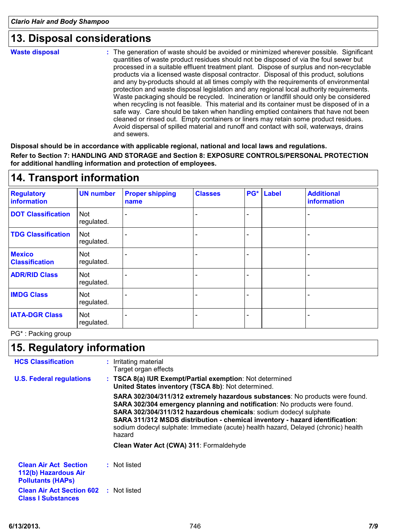### **13. Disposal considerations**

**Waste disposal**

The generation of waste should be avoided or minimized wherever possible. Significant **:** quantities of waste product residues should not be disposed of via the foul sewer but processed in a suitable effluent treatment plant. Dispose of surplus and non-recyclable products via a licensed waste disposal contractor. Disposal of this product, solutions and any by-products should at all times comply with the requirements of environmental protection and waste disposal legislation and any regional local authority requirements. Waste packaging should be recycled. Incineration or landfill should only be considered when recycling is not feasible. This material and its container must be disposed of in a safe way. Care should be taken when handling emptied containers that have not been cleaned or rinsed out. Empty containers or liners may retain some product residues. Avoid dispersal of spilled material and runoff and contact with soil, waterways, drains and sewers.

**Disposal should be in accordance with applicable regional, national and local laws and regulations.**

**Refer to Section 7: HANDLING AND STORAGE and Section 8: EXPOSURE CONTROLS/PERSONAL PROTECTION for additional handling information and protection of employees.**

| 14. Transport information               |                          |                                |                |     |              |                                  |
|-----------------------------------------|--------------------------|--------------------------------|----------------|-----|--------------|----------------------------------|
| <b>Regulatory</b><br><b>information</b> | <b>UN number</b>         | <b>Proper shipping</b><br>name | <b>Classes</b> | PG* | <b>Label</b> | <b>Additional</b><br>information |
| <b>DOT Classification</b>               | <b>Not</b><br>regulated. |                                |                |     |              |                                  |
| <b>TDG Classification</b>               | <b>Not</b><br>regulated. |                                |                |     |              |                                  |
| <b>Mexico</b><br><b>Classification</b>  | <b>Not</b><br>regulated. |                                |                |     |              |                                  |
| <b>ADR/RID Class</b>                    | Not<br>regulated.        |                                |                |     |              |                                  |
| <b>IMDG Class</b>                       | Not<br>regulated.        |                                |                |     |              |                                  |
| <b>IATA-DGR Class</b>                   | <b>Not</b><br>regulated. |                                |                |     |              |                                  |
|                                         |                          |                                |                |     |              |                                  |

### **14. Transport information**

PG\* : Packing group

## **15. Regulatory information**

| <b>HCS Classification</b>                                                        | : Irritating material<br>Target organ effects                                                                                                                                                                                                                                                                                                                                                                  |
|----------------------------------------------------------------------------------|----------------------------------------------------------------------------------------------------------------------------------------------------------------------------------------------------------------------------------------------------------------------------------------------------------------------------------------------------------------------------------------------------------------|
| <b>U.S. Federal regulations</b>                                                  | : TSCA 8(a) IUR Exempt/Partial exemption: Not determined<br>United States inventory (TSCA 8b): Not determined.                                                                                                                                                                                                                                                                                                 |
|                                                                                  | SARA 302/304/311/312 extremely hazardous substances: No products were found.<br>SARA 302/304 emergency planning and notification: No products were found.<br>SARA 302/304/311/312 hazardous chemicals: sodium dodecyl sulphate<br>SARA 311/312 MSDS distribution - chemical inventory - hazard identification:<br>sodium dodecyl sulphate: Immediate (acute) health hazard, Delayed (chronic) health<br>hazard |
|                                                                                  | Clean Water Act (CWA) 311: Formaldehyde                                                                                                                                                                                                                                                                                                                                                                        |
| <b>Clean Air Act Section</b><br>112(b) Hazardous Air<br><b>Pollutants (HAPS)</b> | : Not listed                                                                                                                                                                                                                                                                                                                                                                                                   |
| <b>Clean Air Act Section 602 : Not listed</b><br><b>Class I Substances</b>       |                                                                                                                                                                                                                                                                                                                                                                                                                |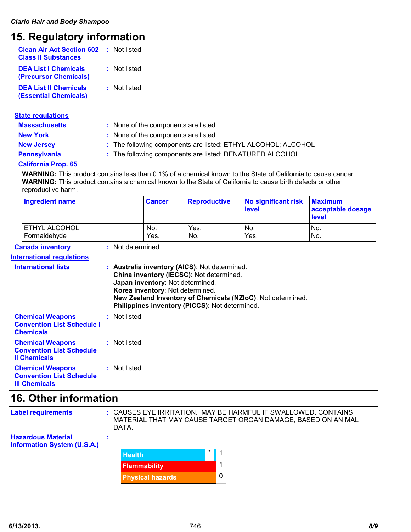## **15. Regulatory information**

| <b>Clean Air Act Section 602</b> : Not listed<br><b>Class II Substances</b> |              |
|-----------------------------------------------------------------------------|--------------|
| <b>DEA List I Chemicals</b><br>(Precursor Chemicals)                        | : Not listed |
| <b>DEA List II Chemicals</b><br>(Essential Chemicals)                       | : Not listed |
|                                                                             |              |

| <b>State regulations</b> |                                                               |
|--------------------------|---------------------------------------------------------------|
| <b>Massachusetts</b>     | : None of the components are listed.                          |
| <b>New York</b>          | : None of the components are listed.                          |
| <b>New Jersey</b>        | : The following components are listed: ETHYL ALCOHOL; ALCOHOL |
| <b>Pennsylvania</b>      | : The following components are listed: DENATURED ALCOHOL      |
|                          |                                                               |

#### **California Prop. 65**

**WARNING:** This product contains less than 0.1% of a chemical known to the State of California to cause cancer. **WARNING:** This product contains a chemical known to the State of California to cause birth defects or other reproductive harm.

|                                              | <b>Ingredient name</b>                                                             |  |              | <b>Cancer</b>                                                        | <b>Reproductive</b>                                                                                                                         | No significant risk<br>level                                | <b>Maximum</b><br>acceptable dosage<br>level |
|----------------------------------------------|------------------------------------------------------------------------------------|--|--------------|----------------------------------------------------------------------|---------------------------------------------------------------------------------------------------------------------------------------------|-------------------------------------------------------------|----------------------------------------------|
|                                              | ETHYL ALCOHOL<br>Formaldehyde                                                      |  |              | No.<br>Yes.                                                          | Yes.<br>No.                                                                                                                                 | No.<br>Yes.                                                 | No.<br>No.                                   |
| : Not determined.<br><b>Canada inventory</b> |                                                                                    |  |              |                                                                      |                                                                                                                                             |                                                             |                                              |
|                                              | <b>International regulations</b>                                                   |  |              |                                                                      |                                                                                                                                             |                                                             |                                              |
|                                              | <b>International lists</b>                                                         |  |              | Japan inventory: Not determined.<br>Korea inventory: Not determined. | : Australia inventory (AICS): Not determined.<br>China inventory (IECSC): Not determined.<br>Philippines inventory (PICCS): Not determined. | New Zealand Inventory of Chemicals (NZIoC): Not determined. |                                              |
|                                              | <b>Chemical Weapons</b><br><b>Convention List Schedule I</b><br><b>Chemicals</b>   |  | : Not listed |                                                                      |                                                                                                                                             |                                                             |                                              |
|                                              | <b>Chemical Weapons</b><br><b>Convention List Schedule</b><br><b>Il Chemicals</b>  |  | : Not listed |                                                                      |                                                                                                                                             |                                                             |                                              |
|                                              | <b>Chemical Weapons</b><br><b>Convention List Schedule</b><br><b>III Chemicals</b> |  | : Not listed |                                                                      |                                                                                                                                             |                                                             |                                              |

## **16. Other information**

| <b>Label requirements</b>                                       | : CAUSES EYE IRRITATION. MAY BE HARMFUL IF SWALLOWED. CONTAINS<br>MATERIAL THAT MAY CAUSE TARGET ORGAN DAMAGE, BASED ON ANIMAL<br>DATA. |         |  |  |
|-----------------------------------------------------------------|-----------------------------------------------------------------------------------------------------------------------------------------|---------|--|--|
| <b>Hazardous Material</b><br><b>Information System (U.S.A.)</b> |                                                                                                                                         |         |  |  |
|                                                                 | <b>Health</b>                                                                                                                           | $\star$ |  |  |
|                                                                 | <b>Flammability</b>                                                                                                                     |         |  |  |

**Physical hazards**

 $\overline{0}$